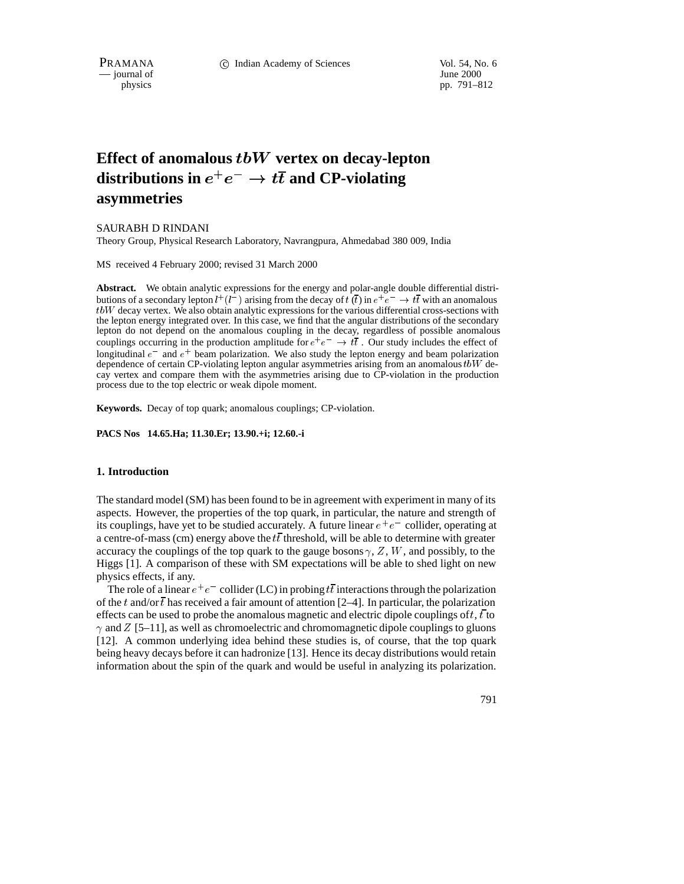$\overline{\phantom{a}}$  journal of

physics pp. 791–812

# **Effect of anomalous** tbW **vertex on decay-lepton** distributions in  $e^+e^- \to t\overline{t}$  and CP-violating **asymmetries**

# SAURABH D RINDANI

Theory Group, Physical Research Laboratory, Navrangpura, Ahmedabad 380 009, India

MS received 4 February 2000; revised 31 March 2000

**Abstract.** We obtain analytic expressions for the energy and polar-angle double differential distributions of a secondary lepton  $l^+(l^-)$  arising from the decay of  $t(\bar{t})$  in  $e^+e^- \to t\bar{t}$  with an anomalous tbW decay vertex. We also obtain analytic expressions for the various differential cross-sections with the lepton energy integrated over. In this case, we find that the angular distributions of the secondary lepton do not depend on the anomalous coupling in the decay, regardless of possible anomalous couplings occurring in the production amplitude for  $e^+e^- \rightarrow t\bar{t}$ . Our study includes the effect of longitudinal  $e^-$  and  $e^+$  beam polarization. We also study the lepton energy and beam polarization dependence of certain CP-violating lepton angular asymmetries arising from an anomalous  $tbW$  decay vertex and compare them with the asymmetries arising due to CP-violation in the production process due to the top electric or weak dipole moment.

**Keywords.** Decay of top quark; anomalous couplings; CP-violation.

**PACS Nos 14.65.Ha; 11.30.Er; 13.90.+i; 12.60.-i**

#### **1. Introduction**

The standard model (SM) has been found to be in agreement with experiment in many of its aspects. However, the properties of the top quark, in particular, the nature and strength of its couplings, have yet to be studied accurately. A future linear  $e^+e^-$  collider, operating at a centre-of-mass (cm) energy above the  $t\bar{t}$  threshold, will be able to determine with greater accuracy the couplings of the top quark to the gauge bosons  $\gamma$ , Z, W, and possibly, to the Higgs [1]. A comparison of these with SM expectations will be able to shed light on new physics effects, if any.

The role of a linear  $e^+e^-$  collider (LC) in probing  $t\bar{t}$  interactions through the polarization of the t and/or  $\bar{t}$  has received a fair amount of attention [2–4]. In particular, the polarization effects can be used to probe the anomalous magnetic and electric dipole couplings of t, t to  $\gamma$  and Z [5–11], as well as chromoelectric and chromomagnetic dipole couplings to gluons [12]. A common underlying idea behind these studies is, of course, that the top quark being heavy decays before it can hadronize [13]. Hence its decay distributions would retain information about the spin of the quark and would be useful in analyzing its polarization.

791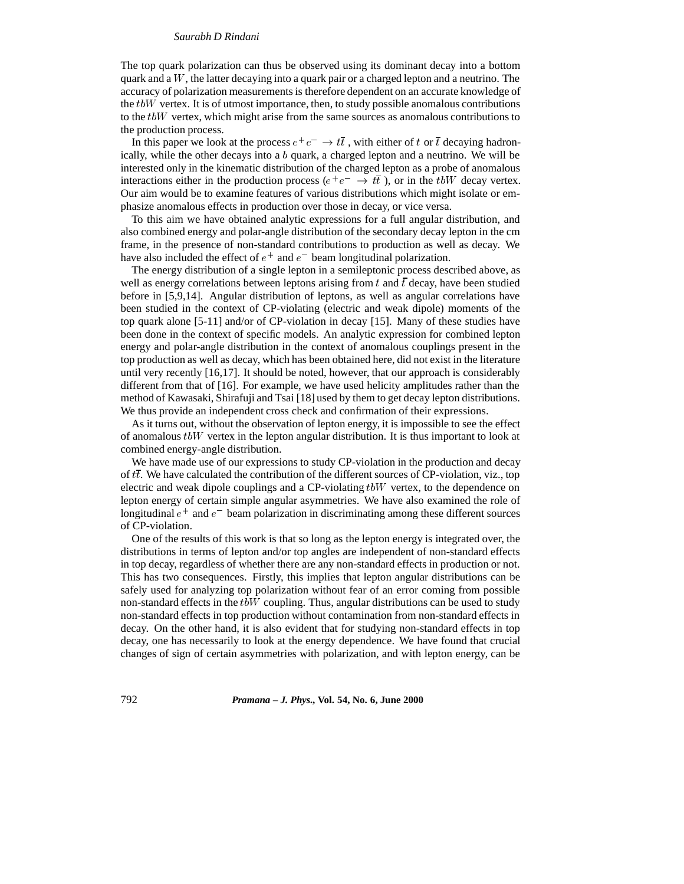The top quark polarization can thus be observed using its dominant decay into a bottom quark and a  $W$ , the latter decaying into a quark pair or a charged lepton and a neutrino. The accuracy of polarization measurements is therefore dependent on an accurate knowledge of the  $tbW$  vertex. It is of utmost importance, then, to study possible anomalous contributions to the  $tbW$  vertex, which might arise from the same sources as anomalous contributions to the production process.

In this paper we look at the process  $e^+e^- \to t\bar{t}$ , with either of t or  $\bar{t}$  decaying hadronically, while the other decays into a  $b$  quark, a charged lepton and a neutrino. We will be interested only in the kinematic distribution of the charged lepton as a probe of anomalous interactions either in the production process ( $e^+e^- \rightarrow t\bar{t}$ ), or in the tbW decay vertex. Our aim would be to examine features of various distributions which might isolate or emphasize anomalous effects in production over those in decay, or vice versa.

To this aim we have obtained analytic expressions for a full angular distribution, and also combined energy and polar-angle distribution of the secondary decay lepton in the cm frame, in the presence of non-standard contributions to production as well as decay. We have also included the effect of  $e^+$  and  $e^-$  beam longitudinal polarization.

The energy distribution of a single lepton in a semileptonic process described above, as well as energy correlations between leptons arising from t and  $\bar{t}$  decay, have been studied before in [5,9,14]. Angular distribution of leptons, as well as angular correlations have been studied in the context of CP-violating (electric and weak dipole) moments of the top quark alone [5-11] and/or of CP-violation in decay [15]. Many of these studies have been done in the context of specific models. An analytic expression for combined lepton energy and polar-angle distribution in the context of anomalous couplings present in the top production as well as decay, which has been obtained here, did not exist in the literature until very recently [16,17]. It should be noted, however, that our approach is considerably different from that of [16]. For example, we have used helicity amplitudes rather than the method of Kawasaki, Shirafuji and Tsai [18] used by them to get decay lepton distributions. We thus provide an independent cross check and confirmation of their expressions.

As it turns out, without the observation of lepton energy, it is impossible to see the effect of anomalous  $t\bar{b}W$  vertex in the lepton angular distribution. It is thus important to look at combined energy-angle distribution.

We have made use of our expressions to study CP-violation in the production and decay of  $t\bar{t}$ . We have calculated the contribution of the different sources of CP-violation, viz., top electric and weak dipole couplings and a CP-violating tbW vertex, to the dependence on lepton energy of certain simple angular asymmetries. We have also examined the role of longitudinal  $e^+$  and  $e^-$  beam polarization in discriminating among these different sources of CP-violation.

One of the results of this work is that so long as the lepton energy is integrated over, the distributions in terms of lepton and/or top angles are independent of non-standard effects in top decay, regardless of whether there are any non-standard effects in production or not. This has two consequences. Firstly, this implies that lepton angular distributions can be safely used for analyzing top polarization without fear of an error coming from possible non-standard effects in the  $tbW$  coupling. Thus, angular distributions can be used to study non-standard effects in top production without contamination from non-standard effects in decay. On the other hand, it is also evident that for studying non-standard effects in top decay, one has necessarily to look at the energy dependence. We have found that crucial changes of sign of certain asymmetries with polarization, and with lepton energy, can be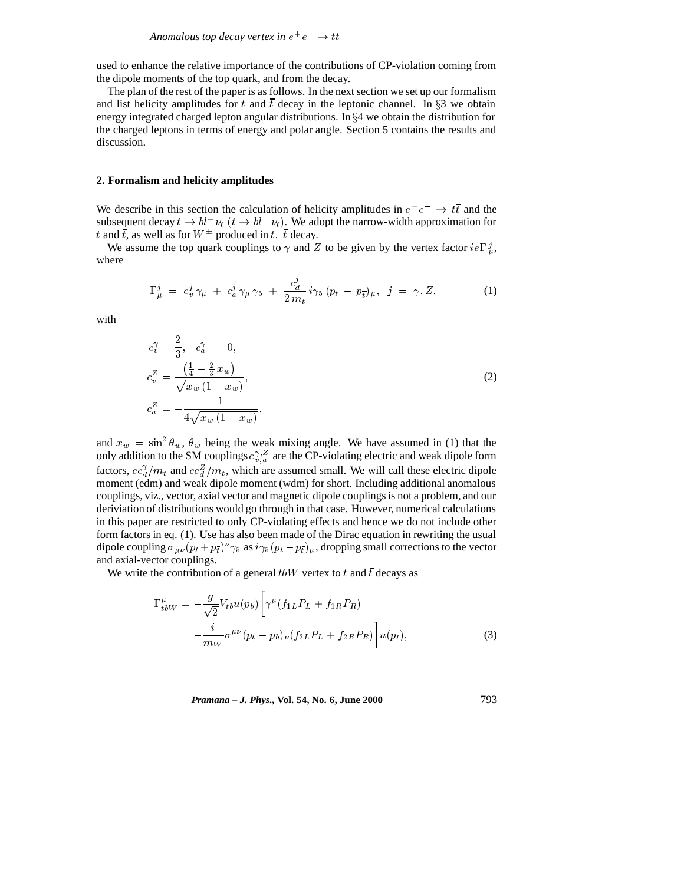used to enhance the relative importance of the contributions of CP-violation coming from the dipole moments of the top quark, and from the decay.

The plan of the rest of the paper is as follows. In the next section we set up our formalism and list helicity amplitudes for t and  $\bar{t}$  decay in the leptonic channel. In §3 we obtain energy integrated charged lepton angular distributions. In  $\S 4$  we obtain the distribution for the charged leptons in terms of energy and polar angle. Section 5 contains the results and discussion.

#### **2. Formalism and helicity amplitudes**

We describe in this section the calculation of helicity amplitudes in  $e^+e^- \rightarrow t\bar{t}$  and the subsequent decay  $t \to bl^+\nu_l$  ( $\bar{t} \to bl^-\bar{\nu}_l$ ). We adopt the narrow-width approximation for t and  $\bar{t}$ , as well as for  $W^{\pm}$  produced in t,  $\bar{t}$  decay.

We assume the top quark couplings to  $\gamma$  and Z to be given by the vertex factor  $ie\Gamma_{u}^{j}$ , where

$$
\Gamma_{\mu}^{j} = c_{v}^{j} \gamma_{\mu} + c_{a}^{j} \gamma_{\mu} \gamma_{5} + \frac{c_{d}^{j}}{2 m_{t}} i \gamma_{5} (p_{t} - p_{\bar{t}})_{\mu}, \quad j = \gamma, Z,
$$
 (1)

with

$$
c_v^{\gamma} = \frac{2}{3}, \quad c_a^{\gamma} = 0,
$$
  
\n
$$
c_v^Z = \frac{\left(\frac{1}{4} - \frac{2}{3}x_w\right)}{\sqrt{x_w \left(1 - x_w\right)}},
$$
  
\n
$$
c_a^Z = -\frac{1}{4\sqrt{x_w \left(1 - x_w\right)}},
$$
\n(2)

and  $x_w = \sin^2 \theta_w$ ,  $\theta_w$  being the weak mixing angle. We have assumed in (1) that the only addition to the SM couplings  $c_{v,a}^{\gamma,Z}$  are the CP-violating electric and weak dipole form factors,  $ec_d^{\gamma}/m_t$  and  $ec_d^{\gamma}/m_t$ , which are assumed small. We will call these electric dipole moment (edm) and weak dipole moment (wdm) for short. Including additional anomalous couplings, viz., vector, axial vector and magnetic dipole couplings is not a problem, and our deriviation of distributions would go through in that case. However, numerical calculations in this paper are restricted to only CP-violating effects and hence we do not include other form factors in eq. (1). Use has also been made of the Dirac equation in rewriting the usual dipole coupling  $\sigma_{\mu\nu} (p_t + p_{\bar{t}})^{\nu} \gamma_5$  as  $i \gamma_5 (p_t - p_{\bar{t}})_{\mu}$ , dropping small corrections to the vector and axial-vector couplings.

We write the contribution of a general tbW vertex to t and  $\bar{t}$  decays as

$$
\Gamma_{tbW}^{\mu} = -\frac{g}{\sqrt{2}} V_{tb} \bar{u}(p_b) \left[ \gamma^{\mu} (f_{1L} P_L + f_{1R} P_R) - \frac{i}{m_W} \sigma^{\mu \nu} (p_t - p_b)_{\nu} (f_{2L} P_L + f_{2R} P_R) \right] u(p_t), \tag{3}
$$

*Pramana – J. Phys.,* **Vol. 54, No. 6, June 2000** 793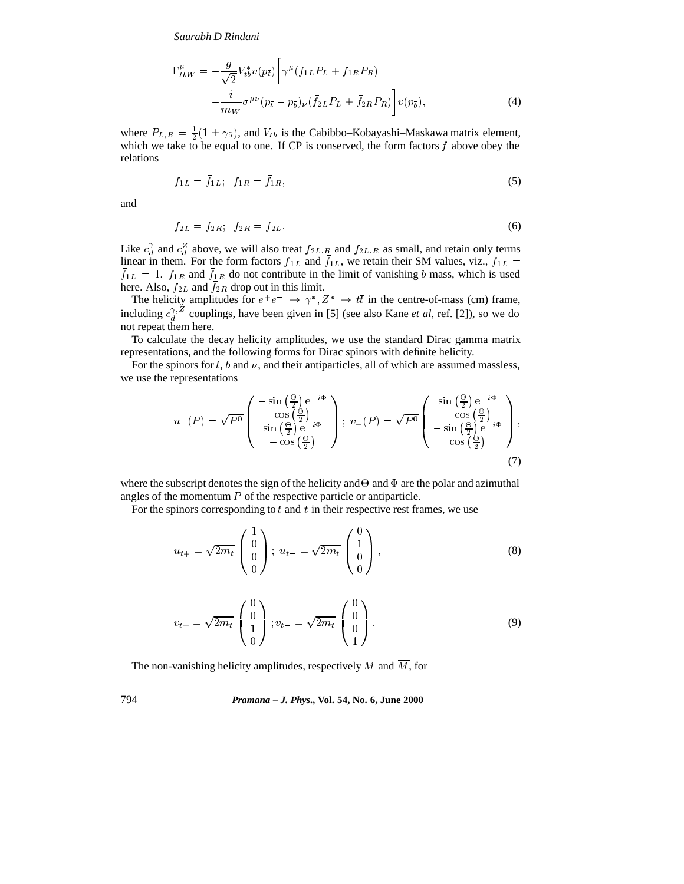$$
\bar{\Gamma}^{\mu}_{tbW} = -\frac{g}{\sqrt{2}} V_{tb}^* \bar{v}(p_{\bar{t}}) \left[ \gamma^{\mu} (\bar{f}_{1L} P_L + \bar{f}_{1R} P_R) - \frac{i}{m_W} \sigma^{\mu \nu} (p_{\bar{t}} - p_{\bar{b}})_{\nu} (\bar{f}_{2L} P_L + \bar{f}_{2R} P_R) \right] v(p_{\bar{b}}), \tag{4}
$$

where  $P_{L,R} = \frac{1}{2}(1 \pm \gamma_5)$ , and  $V_{tb}$  is the Cabibbo–Kobayashi–Maskawa matrix element, which we take to be equal to one. If CP is conserved, the form factors  $f$  above obey the relations

$$
f_{1L} = \bar{f}_{1L}; \ \ f_{1R} = \bar{f}_{1R}, \tag{5}
$$

and

$$
f_{2L} = f_{2R}; \ \ f_{2R} = f_{2L} \tag{6}
$$

Like  $c_d^{\gamma}$  and  $c_d^{\gamma}$  above, we will also treat  $f_{2L,R}$  and  $f_{2L,R}$  as small, and retain only terms linear in them. For the form factors  $f_{1L}$  and  $f_{1L}$ , we retain their SM values, viz.,  $f_{1L}$  =  $f_{1L} = 1$ .  $f_{1R}$  and  $f_{1R}$  do not contribute in the limit of vanishing b mass, which is used here. Also,  $f_{2L}$  and  $f_{2R}$  drop out in this limit.

The helicity amplitudes for  $e^+e^- \to \gamma^*, Z^* \to t\bar{t}$  in the centre-of-mass (cm) frame, including  $c_d^{\gamma, \Delta}$  couplings, have been given in [5] (see also Kane *et al*, ref. [2]), so we do not repeat them here.

To calculate the decay helicity amplitudes, we use the standard Dirac gamma matrix representations, and the following forms for Dirac spinors with definite helicity.

For the spinors for  $l$ ,  $b$  and  $\nu$ , and their antiparticles, all of which are assumed massless, we use the representations

$$
u_{-}(P) = \sqrt{P^{0}} \begin{pmatrix} -\sin\left(\frac{\Theta}{2}\right) e^{-i\Phi} \\ \cos\left(\frac{\Theta}{2}\right) \\ \sin\left(\frac{\Theta}{2}\right) e^{-i\Phi} \\ -\cos\left(\frac{\Theta}{2}\right) \end{pmatrix}; \ v_{+}(P) = \sqrt{P^{0}} \begin{pmatrix} \sin\left(\frac{\Theta}{2}\right) e^{-i\Phi} \\ -\cos\left(\frac{\Theta}{2}\right) \\ -\sin\left(\frac{\Theta}{2}\right) e^{-i\Phi} \\ \cos\left(\frac{\Theta}{2}\right) \end{pmatrix}, \ (7)
$$

where the subscript denotes the sign of the helicity and  $\Theta$  and  $\Phi$  are the polar and azimuthal angles of the momentum  $P$  of the respective particle or antiparticle.

For the spinors corresponding to t and  $\bar{t}$  in their respective rest frames, we use

$$
u_{t+} = \sqrt{2m_t} \begin{pmatrix} 1 \\ 0 \\ 0 \\ 0 \end{pmatrix}; \ u_{t-} = \sqrt{2m_t} \begin{pmatrix} 0 \\ 1 \\ 0 \\ 0 \end{pmatrix}, \tag{8}
$$

$$
v_{t+} = \sqrt{2m_t} \begin{pmatrix} 0 \\ 0 \\ 1 \\ 0 \end{pmatrix}; v_{t-} = \sqrt{2m_t} \begin{pmatrix} 0 \\ 0 \\ 0 \\ 1 \end{pmatrix}.
$$
 (9)

The non-vanishing helicity amplitudes, respectively M and  $\overline{M}$ , for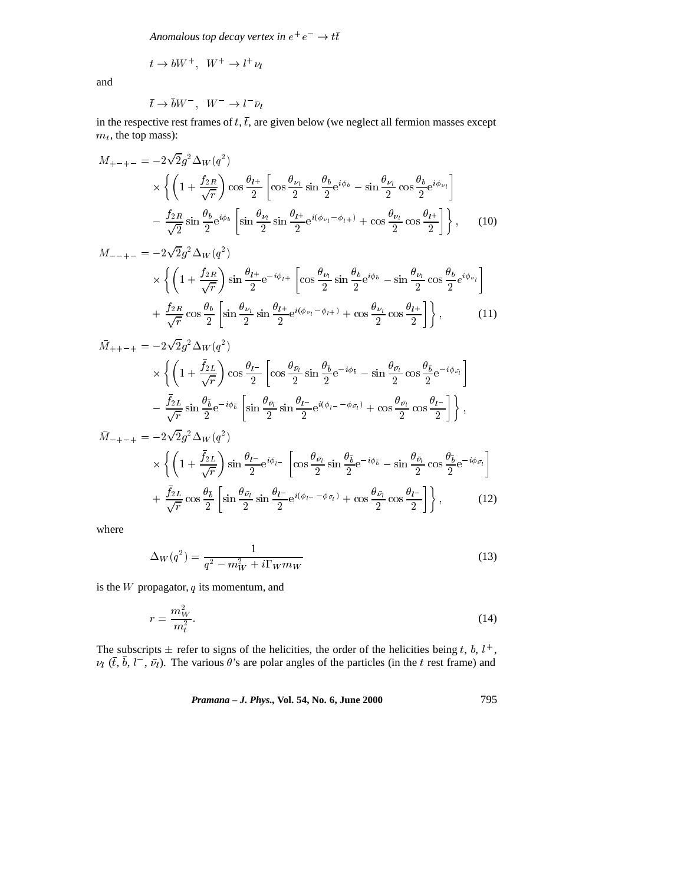Anomalous top decay vertex in  $e^+e^-\rightarrow t\bar t$ 

$$
t \to b W^+ , \ \ W^+ \to l^+ \nu_l
$$

and

$$
\bar{t} \to \bar{b}W^-, \quad W^- \to l^- \bar{\nu}_l
$$

in the respective rest frames of  $t$ ,  $\overline{t}$ , are given below (we neglect all fermion masses except  $m_t$ , the top mass):

$$
M_{+-+-} = -2\sqrt{2}g^2 \Delta_W(q^2)
$$
  
 
$$
\times \left\{ \left( 1 + \frac{f_{2R}}{\sqrt{r}} \right) \cos \frac{\theta_{l^+}}{2} \left[ \cos \frac{\theta_{\nu_l}}{2} \sin \frac{\theta_b}{2} e^{i\phi_b} - \sin \frac{\theta_{\nu_l}}{2} \cos \frac{\theta_b}{2} e^{i\phi_{\nu_l}} \right] - \frac{f_{2R}}{\sqrt{2}} \sin \frac{\theta_b}{2} e^{i\phi_b} \left[ \sin \frac{\theta_{\nu_l}}{2} \sin \frac{\theta_{l^+}}{2} e^{i(\phi_{\nu_l} - \phi_{l^+})} + \cos \frac{\theta_{\nu_l}}{2} \cos \frac{\theta_{l^+}}{2} \right] \right\}, \quad (10)
$$

$$
M_{-++} = -2\sqrt{2}g^2 \Delta_W(q^2)
$$
  
\n
$$
\times \left\{ \left( 1 + \frac{f_{2R}}{\sqrt{r}} \right) \sin \frac{\theta_{l^+}}{2} e^{-i\phi_{l^+}} \left[ \cos \frac{\theta_{\nu_l}}{2} \sin \frac{\theta_b}{2} e^{i\phi_b} - \sin \frac{\theta_{\nu_l}}{2} \cos \frac{\theta_b}{2} e^{i\phi_{\nu_l}} \right] + \frac{f_{2R}}{\sqrt{r}} \cos \frac{\theta_b}{2} \left[ \sin \frac{\theta_{\nu_l}}{2} \sin \frac{\theta_{l^+}}{2} e^{i(\phi_{\nu_l} - \phi_{l^+})} + \cos \frac{\theta_{\nu_l}}{2} \cos \frac{\theta_{l^+}}{2} \right] \right\},
$$
\n(11)

$$
\bar{M}_{+++} = -2\sqrt{2}g^2 \Delta_W(q^2)
$$
\n
$$
\times \left\{ \left( 1 + \frac{\bar{f}_{2L}}{\sqrt{r}} \right) \cos \frac{\theta_{l-}}{2} \left[ \cos \frac{\theta_{\bar{\nu}_{l}}}{2} \sin \frac{\theta_{\bar{b}}}{2} e^{-i\phi_{\bar{b}}} - \sin \frac{\theta_{\bar{\nu}_{l}}}{2} \cos \frac{\theta_{\bar{b}}}{2} e^{-i\phi_{\bar{\nu}_{l}}} \right] - \frac{\bar{f}_{2L}}{\sqrt{r}} \sin \frac{\theta_{\bar{b}}}{2} e^{-i\phi_{\bar{b}}} \left[ \sin \frac{\theta_{\bar{\nu}_{l}}}{2} \sin \frac{\theta_{l-}}{2} e^{i(\phi_{l-}-\phi_{\bar{\nu}_{l}})} + \cos \frac{\theta_{\bar{\nu}_{l}}}{2} \cos \frac{\theta_{l-}}{2} \right] \right\},\
$$
\n
$$
\bar{M}_{-+-+} = -2\sqrt{2}g^2 \Delta_W(q^2)
$$
\n
$$
\times \left\{ \left( 1 + \frac{\bar{f}_{2L}}{\sqrt{r}} \right) \sin \frac{\theta_{l-}}{2} e^{i\phi_{l-}} \left[ \cos \frac{\theta_{\bar{\nu}_{l}}}{2} \sin \frac{\theta_{\bar{b}}}{2} e^{-i\phi_{\bar{b}}} - \sin \frac{\theta_{\bar{\nu}_{l}}}{2} \cos \frac{\theta_{\bar{b}}}{2} e^{-i\phi_{\bar{\nu}_{l}}} \right] + \frac{\bar{f}_{2L}}{\sqrt{r}} \cos \frac{\theta_{\bar{b}}}{2} \left[ \sin \frac{\theta_{\bar{\nu}_{l}}}{2} \sin \frac{\theta_{l-}}{2} e^{i(\phi_{l-}-\phi_{\bar{\nu}_{l}})} + \cos \frac{\theta_{\bar{\nu}_{l}}}{2} \cos \frac{\theta_{l-}}{2} \right] \right\}, \tag{12}
$$

where

$$
\Delta_W(q^2) = \frac{1}{q^2 - m_W^2 + i\Gamma_W m_W} \tag{13}
$$

is the  $W$  propagator,  $q$  its momentum, and

$$
r = \frac{m_W^2}{m_t^2}.\tag{14}
$$

The subscripts  $\pm$  refer to signs of the helicities, the order of the helicities being t, b,  $l^+$ ,  $\nu_l$  ( $\bar{t}$ ,  $b$ ,  $l^-$ ,  $\bar{\nu}_l$ ). The various  $\theta$ 's are polar angles of the particles (in the t rest frame) and

*Pramana – J. Phys.,* **Vol. 54, No. 6, June 2000** 795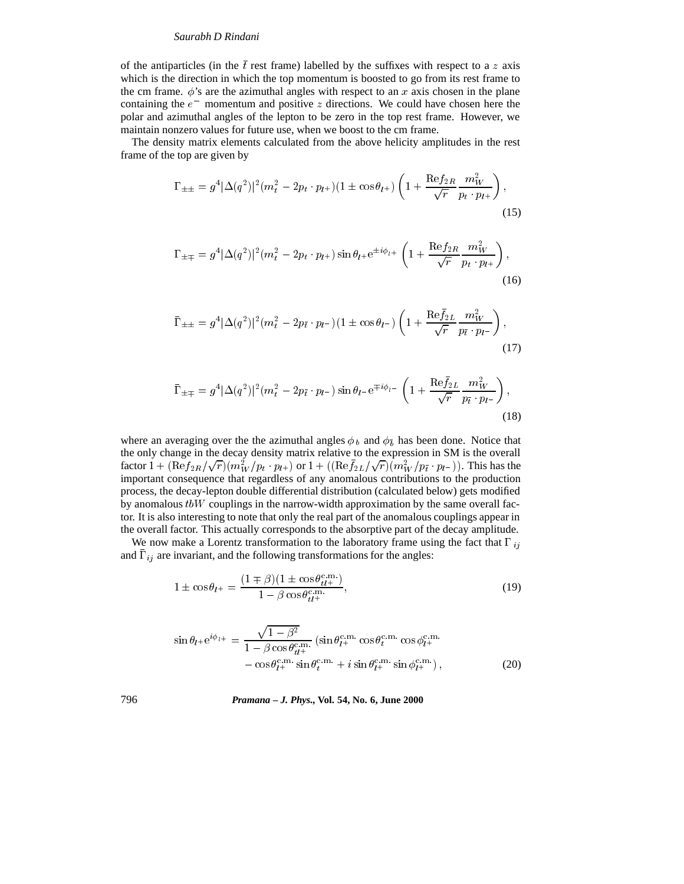of the antiparticles (in the  $\bar{t}$  rest frame) labelled by the suffixes with respect to a z axis which is the direction in which the top momentum is boosted to go from its rest frame to the cm frame.  $\phi$ 's are the azimuthal angles with respect to an x axis chosen in the plane containing the  $e^-$  momentum and positive z directions. We could have chosen here the polar and azimuthal angles of the lepton to be zero in the top rest frame. However, we maintain nonzero values for future use, when we boost to the cm frame.

The density matrix elements calculated from the above helicity amplitudes in the rest frame of the top are given by

$$
\Gamma_{\pm\pm} = g^4 |\Delta(q^2)|^2 (m_t^2 - 2p_t \cdot p_{l^+}) (1 \pm \cos \theta_{l^+}) \left( 1 + \frac{\text{Re} f_{2R}}{\sqrt{r}} \frac{m_W^2}{p_t \cdot p_{l^+}} \right),\tag{15}
$$

$$
\Gamma_{\pm\mp} = g^4 |\Delta(q^2)|^2 (m_t^2 - 2p_t \cdot p_{l^+}) \sin \theta_{l^+} e^{\pm i\phi_{l^+}} \left( 1 + \frac{\text{Re} f_{2R}}{\sqrt{r}} \frac{m_W^2}{p_{t} \cdot p_{l^+}} \right),\tag{16}
$$

$$
\bar{\Gamma}_{\pm\pm} = g^4 |\Delta(q^2)|^2 (m_t^2 - 2p_{\bar{t}} \cdot p_{l^-}) (1 \pm \cos \theta_{l^-}) \left( 1 + \frac{\text{Re}\bar{f}_{2L}}{\sqrt{r}} \frac{m_W^2}{p_{\bar{t}} \cdot p_{l^-}} \right),\tag{17}
$$

$$
\bar{\Gamma}_{\pm \mp} = g^4 |\Delta(q^2)|^2 (m_t^2 - 2p_{\bar{t}} \cdot p_{l-}) \sin \theta_{l-} e^{\mp i\phi_{l-}} \left( 1 + \frac{\text{Re}\bar{f}_{2L}}{\sqrt{r}} \frac{m_W^2}{p_{\bar{t}} \cdot p_{l-}} \right),\tag{18}
$$

where an averaging over the the azimuthal angles  $\phi_b$  and  $\phi_{\bar{b}}$  has been done. Notice that the only change in the decay density matrix relative to the expression in SM is the overall factor  $1 + (\text{Re} f_{2R}/\sqrt{r})(m_W^2/p_t \cdot p_{l+})$  or  $1 + ((\text{Re} f_{2L}/\sqrt{r})(m_W^2/p_{\bar{t}} \cdot p_{l-})).$  This has the important consequence that regardless of any anomalous contributions to the production process, the decay-lepton double differential distribution (calculated below) gets modified by anomalous  $t\bar{b}W$  couplings in the narrow-width approximation by the same overall factor. It is also interesting to note that only the real part of the anomalous couplings appear in the overall factor. This actually corresponds to the absorptive part of the decay amplitude.

We now make a Lorentz transformation to the laboratory frame using the fact that  $\Gamma_{ij}$ and  $\Gamma_{ij}$  are invariant, and the following transformations for the angles:

$$
1 \pm \cos \theta_{l^+} = \frac{(1 \mp \beta)(1 \pm \cos \theta_{tl}^{\text{c.m.}})}{1 - \beta \cos \theta_{tl}^{\text{c.m.}}},
$$
\n(19)

$$
\sin \theta_{l+} e^{i\phi_{l+}} = \frac{\sqrt{1-\beta^2}}{1-\beta \cos \theta_{t\mu+}^{c.m.}} (\sin \theta_{l+}^{c.m.} \cos \theta_{t}^{c.m.} \cos \phi_{l+}^{c.m.}) - \cos \theta_{l+}^{c.m.} \sin \theta_{t}^{c.m.} + i \sin \theta_{l+}^{c.m.} \sin \phi_{l+}^{c.m.}),
$$
\n(20)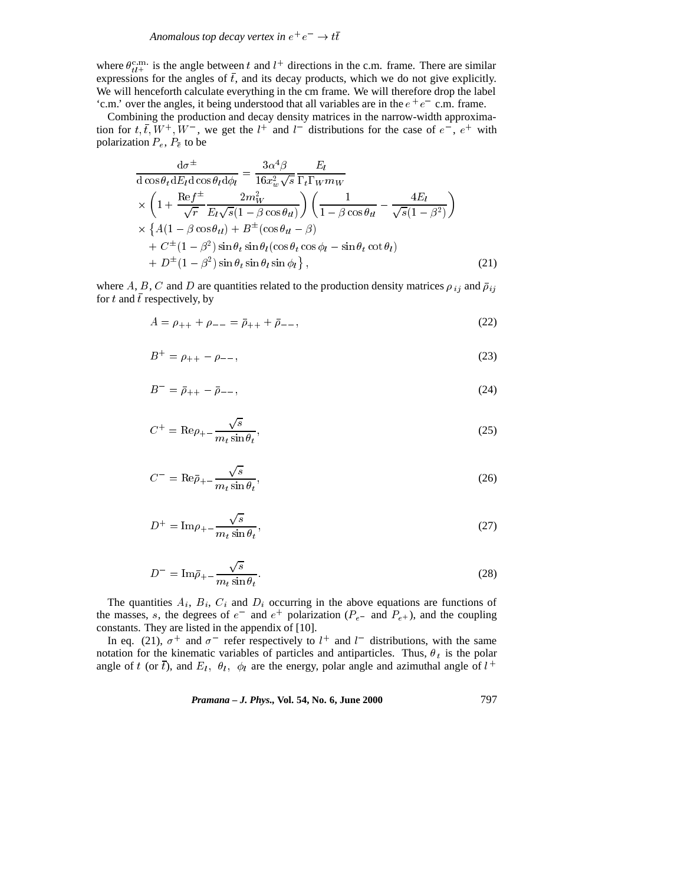where  $\theta_{tl}^{\text{c.m.}}$  is the angle between t and  $l^+$  directions in the c.m. frame. There are similar expressions for the angles of  $\bar{t}$ , and its decay products, which we do not give explicitly. We will henceforth calculate everything in the cm frame. We will therefore drop the label 'c.m.' over the angles, it being understood that all variables are in the  $e^+e^-$  c.m. frame.

Combining the production and decay density matrices in the narrow-width approximation for  $t, \bar{t}, W^+, W^-$ , we get the  $l^+$  and  $l^-$  distributions for the case of  $e^-$ ,  $e^+$  with polarization  $P_e$ ,  $P_{\bar{e}}$  to be

$$
\frac{d\sigma^{\pm}}{d\cos\theta_t dE_l d\cos\theta_l d\phi_l} = \frac{3\alpha^4 \beta}{16x_w^2 \sqrt{s}} \frac{E_l}{\Gamma_t \Gamma_W m_W} \times \left(1 + \frac{\text{Re}f^{\pm}}{\sqrt{r}} \frac{2m_W^2}{E_l \sqrt{s}(1 - \beta \cos\theta_{tl})}\right) \left(\frac{1}{1 - \beta \cos\theta_{tl}} - \frac{4E_l}{\sqrt{s}(1 - \beta^2)}\right) \times \left\{A(1 - \beta \cos\theta_{tl}) + B^{\pm}(\cos\theta_{tl} - \beta) + C^{\pm}(1 - \beta^2) \sin\theta_t \sin\theta_l (\cos\theta_t \cos\phi_l - \sin\theta_t \cot\theta_l) + D^{\pm}(1 - \beta^2) \sin\theta_t \sin\theta_l \sin\phi_l \right\},
$$
\n(21)

where A, B, C and D are quantities related to the production density matrices  $\rho_{ij}$  and  $\bar{\rho}_{ij}$ for t and  $\bar{t}$  respectively, by

$$
A = \rho_{++} + \rho_{--} = \bar{\rho}_{++} + \bar{\rho}_{--}, \tag{22}
$$

$$
B^{+} = \rho_{++} - \rho_{--},\tag{23}
$$

$$
B^{-} = \bar{\rho}_{++} - \bar{\rho}_{--}, \tag{24}
$$

$$
C^{+} = \text{Re}\rho_{+-} \frac{\sqrt{s}}{m_t \sin \theta_t},\tag{25}
$$

$$
C^{-} = \text{Re}\bar{\rho}_{+-} \frac{\sqrt{s}}{m_t \sin \theta_t},\tag{26}
$$

$$
D^{+} = \text{Im}\rho_{+} - \frac{\sqrt{s}}{m_t \sin \theta_t},\tag{27}
$$

$$
D^{-} = \text{Im}\bar{\rho}_{+} - \frac{\sqrt{s}}{m_t \sin \theta_t}.
$$
 (28)

The quantities  $A_i$ ,  $B_i$ ,  $C_i$  and  $D_i$  occurring in the above equations are functions of the masses, s, the degrees of  $e^-$  and  $e^+$  polarization ( $P_{e^-}$  and  $P_{e^+}$ ), and the coupling constants. They are listed in the appendix of [10].

In eq. (21),  $\sigma^+$  and  $\sigma^-$  refer respectively to  $l^+$  and  $l^-$  distributions, with the same notation for the kinematic variables of particles and antiparticles. Thus,  $\theta_t$  is the polar angle of t (or  $\bar{t}$ ), and  $E_l$ ,  $\theta_l$ ,  $\phi_l$  are the energy, polar angle and azimuthal angle of  $l^+$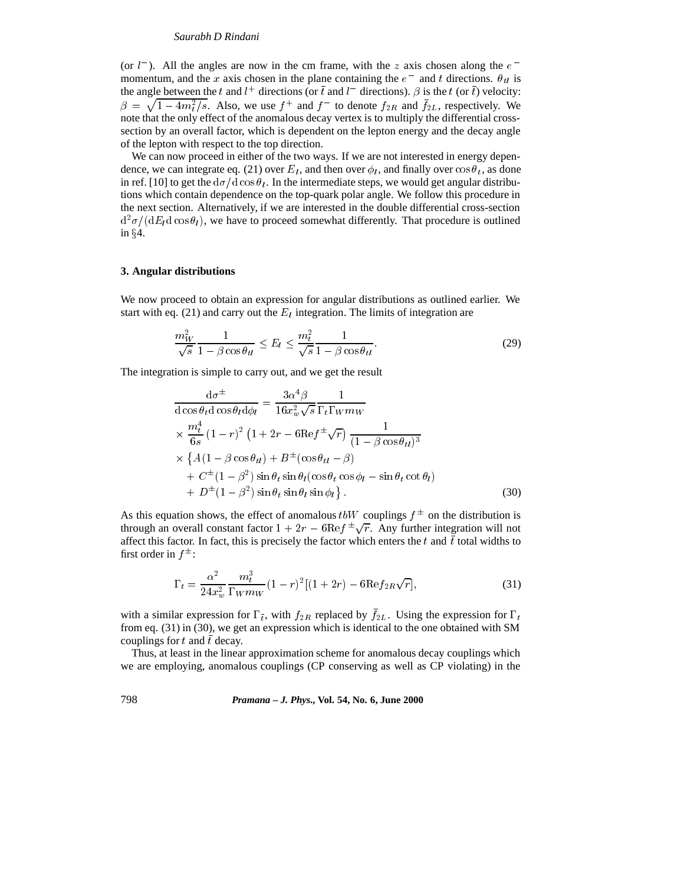(or  $l^-$ ). All the angles are now in the cm frame, with the z axis chosen along the  $e^$ momentum, and the x axis chosen in the plane containing the  $e^-$  and t directions.  $\theta_{tt}$  is the angle between the t and  $l^+$  directions (or  $\bar{t}$  and  $l^-$  directions).  $\beta$  is the t (or  $\bar{t}$ ) velocity:  $\beta = \sqrt{1 - 4m_t^2/s}$ . Also, we use  $f^+$  and  $f^-$  to denote  $f_{2R}$  and  $\bar{f}_{2L}$ , respectively. We note that the only effect of the anomalous decay vertex is to multiply the differential crosssection by an overall factor, which is dependent on the lepton energy and the decay angle of the lepton with respect to the top direction.

We can now proceed in either of the two ways. If we are not interested in energy dependence, we can integrate eq. (21) over  $E_l$ , and then over  $\phi_l$ , and finally over  $\cos \theta_l$ , as done in ref. [10] to get the  $d\sigma/d \cos \theta_l$ . In the intermediate steps, we would get angular distributions which contain dependence on the top-quark polar angle. We follow this procedure in the next section. Alternatively, if we are interested in the double differential cross-section  $d^2\sigma/(dE_l d\cos\theta_l)$ , we have to proceed somewhat differently. That procedure is outlined in  $§4$ .

#### **3. Angular distributions**

We now proceed to obtain an expression for angular distributions as outlined earlier. We start with eq. (21) and carry out the  $E_l$  integration. The limits of integration are

$$
\frac{m_W^2}{\sqrt{s}} \frac{1}{1 - \beta \cos \theta_{tt}} \le E_l \le \frac{m_t^2}{\sqrt{s}} \frac{1}{1 - \beta \cos \theta_{tt}}.
$$
\n(29)

The integration is simple to carry out, and we get the result

$$
\frac{d\sigma^{\pm}}{d\cos\theta_t d\cos\theta_l d\phi_l} = \frac{3\alpha^4 \beta}{16x_w^2 \sqrt{s}} \frac{1}{\Gamma_t \Gamma_W m_W}
$$
\n
$$
\times \frac{m_t^4}{6s} (1 - r)^2 (1 + 2r - 6\text{Re} f^{\pm} \sqrt{r}) \frac{1}{(1 - \beta \cos \theta_{tt})^3}
$$
\n
$$
\times \{A(1 - \beta \cos \theta_{tt}) + B^{\pm}(\cos \theta_{tt} - \beta) + C^{\pm} (1 - \beta^2) \sin \theta_t \sin \theta_l (\cos \theta_t \cos \phi_l - \sin \theta_t \cot \theta_l)
$$
\n
$$
+ D^{\pm} (1 - \beta^2) \sin \theta_t \sin \theta_l \sin \phi_l \}.
$$
\n(30)

As this equation shows, the effect of anomalous  $t \cdot bW$  couplings  $f^{\pm}$  on the distribution is through an overall constant factor  $1+2r - 6\text{Re} f^{\pm} \sqrt{r}$ . Any further integration will not affect this factor. In fact, this is precisely the factor which enters the t and  $\bar{t}$  total widths to first order in  $f^{\pm}$ :

$$
\Gamma_t = \frac{\alpha^2}{24x_w^2} \frac{m_t^3}{\Gamma_W m_W} (1 - r)^2 [(1 + 2r) - 6 \text{Re} f_{2R} \sqrt{r}],\tag{31}
$$

with a similar expression for  $\Gamma_{\bar{t}}$ , with  $f_{2R}$  replaced by  $f_{2L}$ . Using the expression for  $\Gamma_t$ from eq. (31) in (30), we get an expression which is identical to the one obtained with SM couplings for t and  $\bar{t}$  decay.

Thus, at least in the linear approximation scheme for anomalous decay couplings which we are employing, anomalous couplings (CP conserving as well as CP violating) in the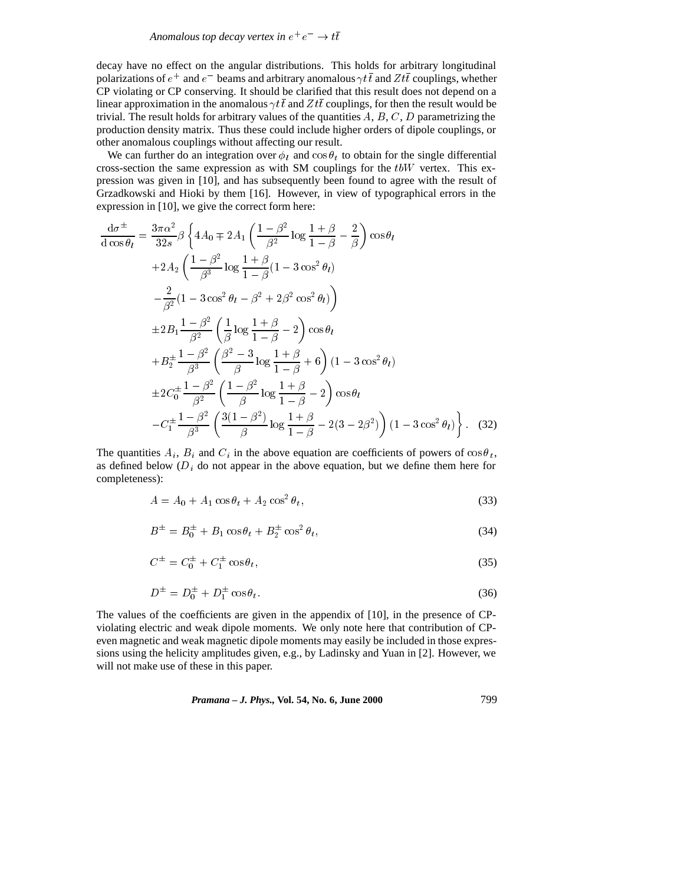decay have no effect on the angular distributions. This holds for arbitrary longitudinal polarizations of  $e^+$  and  $e^-$  beams and arbitrary anomalous  $\gamma t\bar t$  and  $Z t\bar t$  couplings, whether CP violating or CP conserving. It should be clarified that this result does not depend on a linear approximation in the anomalous  $\gamma t \bar{t}$  and  $Z t \bar{t}$  couplings, for then the result would be trivial. The result holds for arbitrary values of the quantities  $A, B, C, D$  parametrizing the production density matrix. Thus these could include higher orders of dipole couplings, or other anomalous couplings without affecting our result.

We can further do an integration over  $\phi_l$  and  $\cos \theta_t$  to obtain for the single differential cross-section the same expression as with SM couplings for the  $tbW$  vertex. This expression was given in [10], and has subsequently been found to agree with the result of Grzadkowski and Hioki by them [16]. However, in view of typographical errors in the expression in [10], we give the correct form here:

$$
\frac{d\sigma^{\pm}}{d\cos\theta_{l}} = \frac{3\pi\alpha^{2}}{32s} \beta \left\{ 4A_{0} \mp 2A_{1} \left( \frac{1-\beta^{2}}{\beta^{2}} \log \frac{1+\beta}{1-\beta} - \frac{2}{\beta} \right) \cos\theta_{l} \right.\n+2A_{2} \left( \frac{1-\beta^{2}}{\beta^{3}} \log \frac{1+\beta}{1-\beta} (1-3\cos^{2}\theta_{l}) \right.\n- \frac{2}{\beta^{2}} (1-3\cos^{2}\theta_{l} - \beta^{2} + 2\beta^{2}\cos^{2}\theta_{l}) \right)\n+2B_{1} \frac{1-\beta^{2}}{\beta^{2}} \left( \frac{1}{\beta} \log \frac{1+\beta}{1-\beta} - 2 \right) \cos\theta_{l}\n+ B_{2}^{\pm} \frac{1-\beta^{2}}{\beta^{3}} \left( \frac{\beta^{2}-3}{\beta} \log \frac{1+\beta}{1-\beta} + 6 \right) (1-3\cos^{2}\theta_{l})\n+ 2C_{0}^{\pm} \frac{1-\beta^{2}}{\beta^{2}} \left( \frac{1-\beta^{2}}{\beta} \log \frac{1+\beta}{1-\beta} - 2 \right) \cos\theta_{l}\n-C_{1}^{\pm} \frac{1-\beta^{2}}{\beta^{3}} \left( \frac{3(1-\beta^{2})}{\beta} \log \frac{1+\beta}{1-\beta} - 2(3-2\beta^{2}) \right) (1-3\cos^{2}\theta_{l}) \right\}. (32)
$$

The quantities  $A_i$ ,  $B_i$  and  $C_i$  in the above equation are coefficients of powers of  $\cos \theta_t$ , as defined below  $(D_i)$  do not appear in the above equation, but we define them here for completeness):

$$
A = A_0 + A_1 \cos \theta_t + A_2 \cos^2 \theta_t,\tag{33}
$$

$$
B^{\pm} = B_0^{\pm} + B_1 \cos \theta_t + B_2^{\pm} \cos^2 \theta_t, \tag{34}
$$

$$
C^{\pm} = C_0^{\pm} + C_1^{\pm} \cos \theta_t, \tag{35}
$$

$$
D^{\pm} = D_0^{\pm} + D_1^{\pm} \cos \theta_t. \tag{36}
$$

The values of the coefficients are given in the appendix of [10], in the presence of CPviolating electric and weak dipole moments. We only note here that contribution of CPeven magnetic and weak magnetic dipole moments may easily be included in those expressions using the helicity amplitudes given, e.g., by Ladinsky and Yuan in [2]. However, we will not make use of these in this paper.

*Pramana – J. Phys.,* **Vol. 54, No. 6, June 2000** 799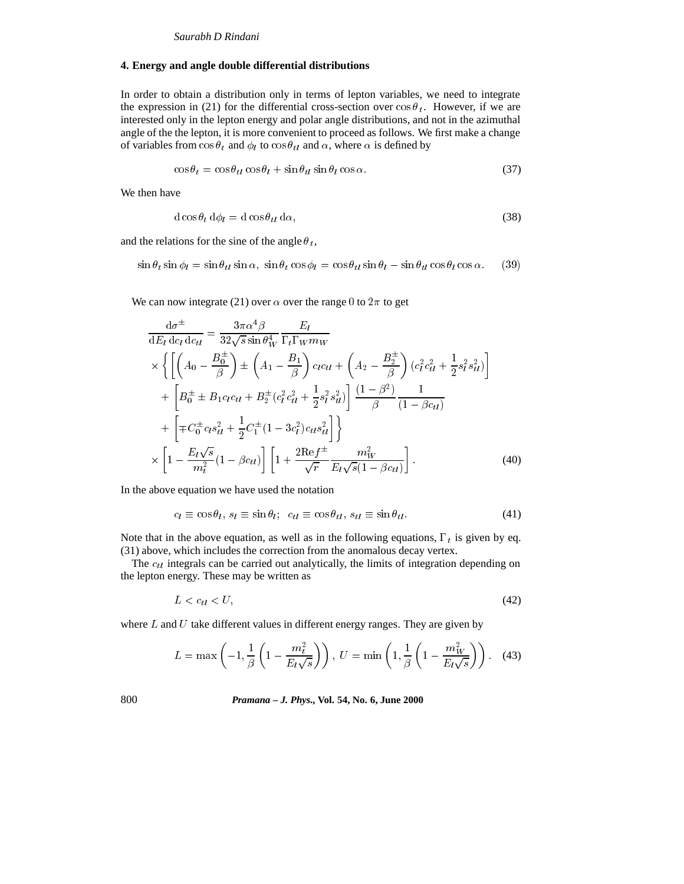#### **4. Energy and angle double differential distributions**

In order to obtain a distribution only in terms of lepton variables, we need to integrate the expression in (21) for the differential cross-section over  $\cos \theta_t$ . However, if we are interested only in the lepton energy and polar angle distributions, and not in the azimuthal angle of the the lepton, it is more convenient to proceed as follows. We first make a change of variables from  $\cos \theta_t$  and  $\phi_l$  to  $\cos \theta_{tl}$  and  $\alpha$ , where  $\alpha$  is defined by

$$
\cos \theta_t = \cos \theta_{tl} \cos \theta_l + \sin \theta_{tl} \sin \theta_l \cos \alpha. \tag{37}
$$

We then have

$$
d\cos\theta_t \, d\phi_l = d\cos\theta_{tl} \, d\alpha,\tag{38}
$$

and the relations for the sine of the angle  $\theta_t$ ,

$$
\sin \theta_t \sin \phi_l = \sin \theta_{tt} \sin \alpha, \ \sin \theta_t \cos \phi_l = \cos \theta_{tt} \sin \theta_l - \sin \theta_{tt} \cos \theta_l \cos \alpha. \tag{39}
$$

We can now integrate (21) over  $\alpha$  over the range 0 to  $2\pi$  to get

$$
\frac{d\sigma^{\pm}}{dE_l d c_l d c_{tl}} = \frac{3\pi \alpha^4 \beta}{32\sqrt{s} \sin \theta_W^4} \frac{E_l}{\Gamma_t \Gamma_W m_W} \n\times \left\{ \left[ \left( A_0 - \frac{B_0^{\pm}}{\beta} \right) \pm \left( A_1 - \frac{B_1}{\beta} \right) c_l c_{tl} + \left( A_2 - \frac{B_2^{\pm}}{\beta} \right) (c_l^2 c_{tl}^2 + \frac{1}{2} s_l^2 s_{tl}^2) \right] \right. \n+ \left[ B_0^{\pm} \pm B_1 c_l c_{tl} + B_2^{\pm} (c_l^2 c_{tl}^2 + \frac{1}{2} s_l^2 s_{tl}^2) \right] \frac{(1 - \beta^2)}{\beta} \frac{1}{(1 - \beta c_{tl})} \n+ \left[ \mp C_0^{\pm} c_l s_{tl}^2 + \frac{1}{2} C_1^{\pm} (1 - 3c_l^2) c_{tl} s_{tl}^2 \right] \right\} \n\times \left[ 1 - \frac{E_l \sqrt{s}}{m_t^2} (1 - \beta c_{tl}) \right] \left[ 1 + \frac{2 \text{Re} f^{\pm}}{\sqrt{r}} \frac{m_W^2}{E_l \sqrt{s} (1 - \beta c_{tl})} \right].
$$
\n(40)

In the above equation we have used the notation

$$
c_l \equiv \cos \theta_l, \ s_l \equiv \sin \theta_l; \ \ c_{tl} \equiv \cos \theta_{tl}, \ s_{tl} \equiv \sin \theta_{tl}. \tag{41}
$$

Note that in the above equation, as well as in the following equations,  $\Gamma_t$  is given by eq. (31) above, which includes the correction from the anomalous decay vertex.

The  $c_{tl}$  integrals can be carried out analytically, the limits of integration depending on the lepton energy. These may be written as

$$
L < c_{tl} < U,\tag{42}
$$

where  $L$  and  $U$  take different values in different energy ranges. They are given by

$$
L = \max\left(-1, \frac{1}{\beta} \left(1 - \frac{m_t^2}{E_l \sqrt{s}}\right)\right), \ U = \min\left(1, \frac{1}{\beta} \left(1 - \frac{m_W^2}{E_l \sqrt{s}}\right)\right). \tag{43}
$$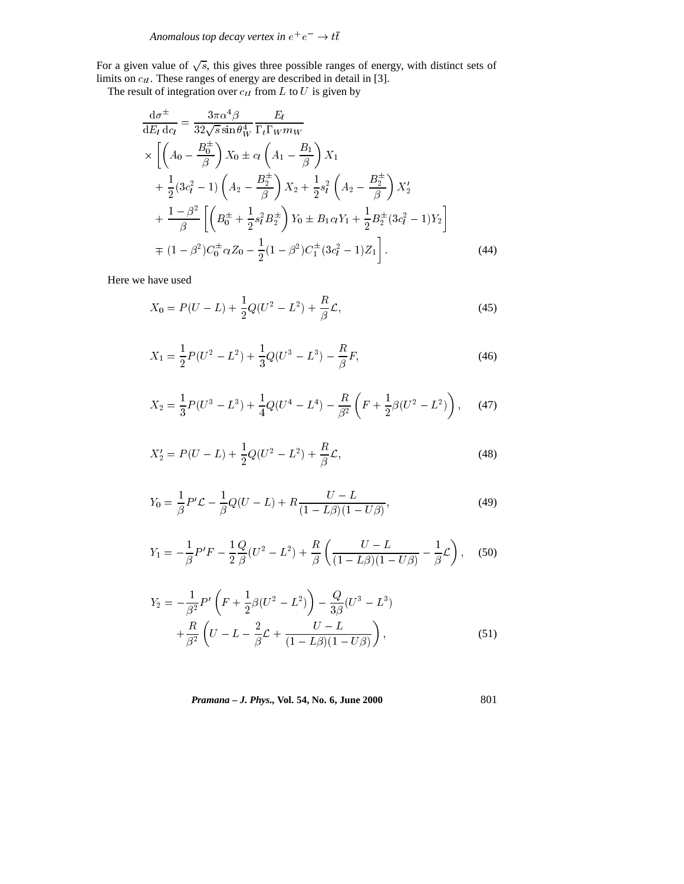For a given value of  $\sqrt{s}$ , this gives three possible ranges of energy, with distinct sets of limits on  $c_{tl}$ . These ranges of energy are described in detail in [3].

The result of integration over  $c_{tl}$  from L to U is given by

$$
\frac{d\sigma^{\pm}}{dE_l d_{Cl}} = \frac{3\pi\alpha^4\beta}{32\sqrt{s}\sin\theta_W^4} \frac{E_l}{\Gamma_t \Gamma_W m_W} \times \left[ \left( A_0 - \frac{B_0^{\pm}}{\beta} \right) X_0 \pm c_l \left( A_1 - \frac{B_1}{\beta} \right) X_1 \n+ \frac{1}{2} (3c_l^2 - 1) \left( A_2 - \frac{B_2^{\pm}}{\beta} \right) X_2 + \frac{1}{2} s_l^2 \left( A_2 - \frac{B_2^{\pm}}{\beta} \right) X_2' \n+ \frac{1 - \beta^2}{\beta} \left[ \left( B_0^{\pm} + \frac{1}{2} s_l^2 B_2^{\pm} \right) Y_0 \pm B_1 c_l Y_1 + \frac{1}{2} B_2^{\pm} (3c_l^2 - 1) Y_2 \right] \n+ (1 - \beta^2) C_0^{\pm} c_l Z_0 - \frac{1}{2} (1 - \beta^2) C_1^{\pm} (3c_l^2 - 1) Z_1 \right].
$$
\n(44)

Here we have used

$$
X_0 = P(U - L) + \frac{1}{2}Q(U^2 - L^2) + \frac{R}{\beta}\mathcal{L},\tag{45}
$$

$$
X_1 = \frac{1}{2}P(U^2 - L^2) + \frac{1}{3}Q(U^3 - L^3) - \frac{R}{\beta}F,
$$
\n(46)

$$
X_2 = \frac{1}{3}P(U^3 - L^3) + \frac{1}{4}Q(U^4 - L^4) - \frac{R}{\beta^2}\left(F + \frac{1}{2}\beta(U^2 - L^2)\right),\tag{47}
$$

$$
X_2' = P(U - L) + \frac{1}{2}Q(U^2 - L^2) + \frac{R}{\beta}\mathcal{L},\tag{48}
$$

$$
Y_0 = \frac{1}{\beta} P' \mathcal{L} - \frac{1}{\beta} Q(U - L) + R \frac{U - L}{(1 - L\beta)(1 - U\beta)},
$$
(49)

$$
Y_1 = -\frac{1}{\beta}P'F - \frac{1}{2}\frac{Q}{\beta}(U^2 - L^2) + \frac{R}{\beta}\left(\frac{U - L}{(1 - L\beta)(1 - U\beta)} - \frac{1}{\beta}\mathcal{L}\right),
$$
 (50)

$$
Y_2 = -\frac{1}{\beta^2} P' \left( F + \frac{1}{2} \beta (U^2 - L^2) \right) - \frac{Q}{3\beta} (U^3 - L^3) + \frac{R}{\beta^2} \left( U - L - \frac{2}{\beta} \mathcal{L} + \frac{U - L}{(1 - L\beta)(1 - U\beta)} \right),
$$
(51)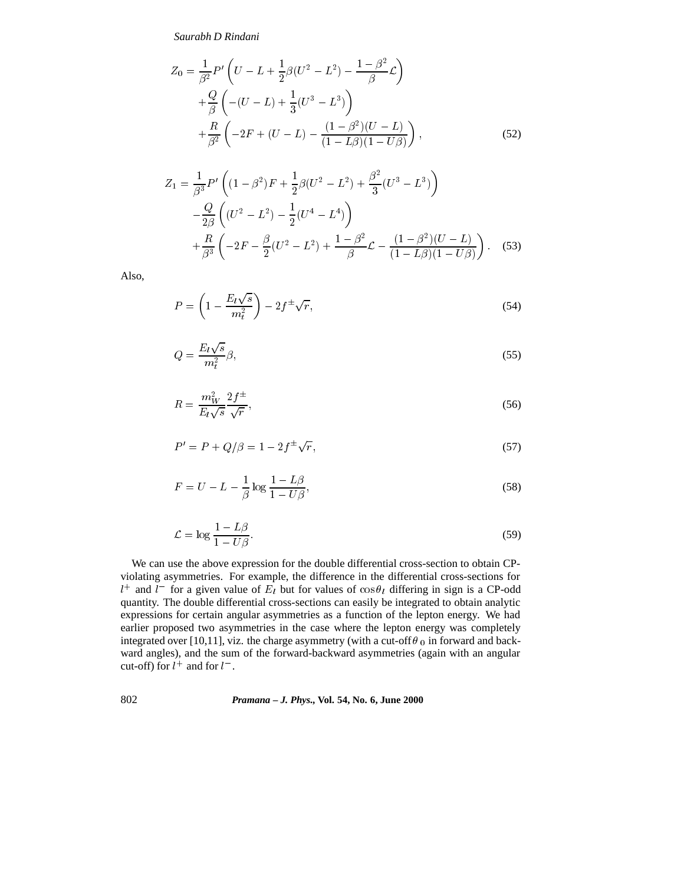$$
Z_0 = \frac{1}{\beta^2} P' \left( U - L + \frac{1}{2} \beta (U^2 - L^2) - \frac{1 - \beta^2}{\beta} \mathcal{L} \right)
$$
  
+ 
$$
\frac{Q}{\beta} \left( -(U - L) + \frac{1}{3} (U^3 - L^3) \right)
$$
  
+ 
$$
\frac{R}{\beta^2} \left( -2F + (U - L) - \frac{(1 - \beta^2)(U - L)}{(1 - L\beta)(1 - U\beta)} \right),
$$
 (52)

$$
Z_1 = \frac{1}{\beta^3} P' \left( (1 - \beta^2) F + \frac{1}{2} \beta (U^2 - L^2) + \frac{\beta^2}{3} (U^3 - L^3) \right)
$$
  
 
$$
- \frac{Q}{2\beta} \left( (U^2 - L^2) - \frac{1}{2} (U^4 - L^4) \right)
$$
  
 
$$
+ \frac{R}{\beta^3} \left( -2F - \frac{\beta}{2} (U^2 - L^2) + \frac{1 - \beta^2}{\beta} \mathcal{L} - \frac{(1 - \beta^2)(U - L)}{(1 - L\beta)(1 - U\beta)} \right).
$$
 (53)

Also,

$$
P = \left(1 - \frac{E_l \sqrt{s}}{m_t^2}\right) - 2f^{\pm} \sqrt{r},\tag{54}
$$

$$
Q = \frac{E_l \sqrt{s}}{m_t^2} \beta,\tag{55}
$$

$$
R = \frac{m_W^2}{E_l \sqrt{s}} \frac{2f^{\pm}}{\sqrt{r}},\tag{56}
$$

$$
P' = P + Q/\beta = 1 - 2f^{\pm}\sqrt{r},\tag{57}
$$

$$
F = U - L - \frac{1}{\beta} \log \frac{1 - L\beta}{1 - U\beta},\tag{58}
$$

$$
\mathcal{L} = \log \frac{1 - L\beta}{1 - U\beta}.
$$
\n(59)

We can use the above expression for the double differential cross-section to obtain CPviolating asymmetries. For example, the difference in the differential cross-sections for  $l^+$  and  $l^-$  for a given value of  $E_l$  but for values of  $\cos\theta_l$  differing in sign is a CP-odd quantity. The double differential cross-sections can easily be integrated to obtain analytic expressions for certain angular asymmetries as a function of the lepton energy. We had earlier proposed two asymmetries in the case where the lepton energy was completely integrated over [10,11], viz. the charge asymmetry (with a cut-off  $\theta_0$  in forward and backward angles), and the sum of the forward-backward asymmetries (again with an angular cut-off) for  $l^+$  and for  $l^-$ .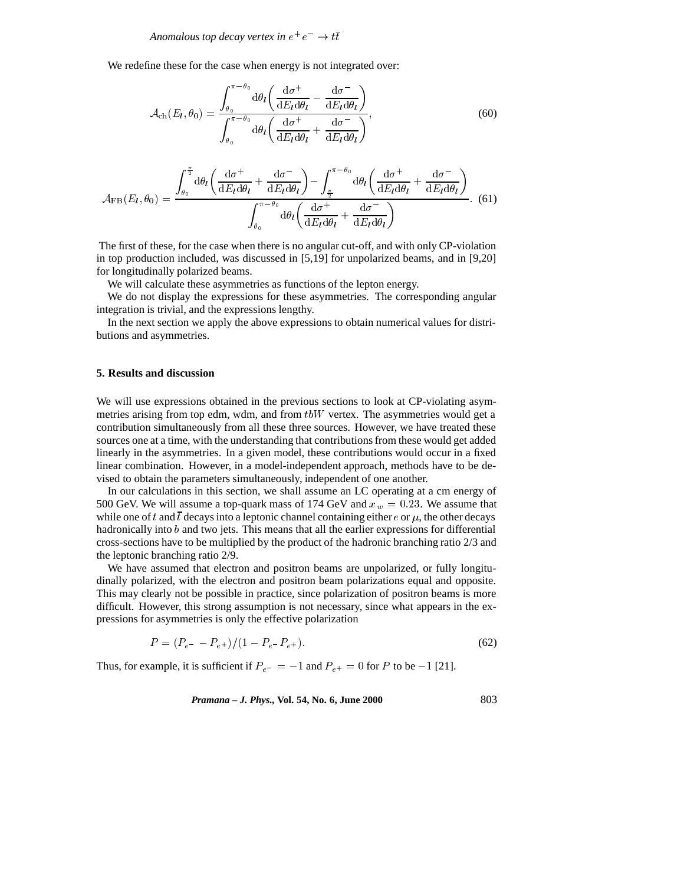Anomalous top decay vertex in  $e^+e^-\rightarrow t\bar t$ 

We redefine these for the case when energy is not integrated over:

$$
\mathcal{A}_{\text{ch}}(E_l, \theta_0) = \frac{\int_{\theta_0}^{\pi - \theta_0} d\theta_l \left( \frac{d\sigma^+}{dE_l d\theta_l} - \frac{d\sigma^-}{dE_l d\theta_l} \right)}{\int_{\theta_0}^{\pi - \theta_0} d\theta_l \left( \frac{d\sigma^+}{dE_l d\theta_l} + \frac{d\sigma^-}{dE_l d\theta_l} \right)},
$$
(60)

$$
\mathcal{A}_{\text{FB}}(E_l, \theta_0) = \frac{\int_{\theta_0}^{\frac{\pi}{2}} d\theta_l \left( \frac{d\sigma^+}{dE_l d\theta_l} + \frac{d\sigma^-}{dE_l d\theta_l} \right) - \int_{\frac{\pi}{2}}^{\pi-\theta_0} d\theta_l \left( \frac{d\sigma^+}{dE_l d\theta_l} + \frac{d\sigma^-}{dE_l d\theta_l} \right)}{\int_{\theta_0}^{\pi-\theta_0} d\theta_l \left( \frac{d\sigma^+}{dE_l d\theta_l} + \frac{d\sigma^-}{dE_l d\theta_l} \right)}.
$$
(61)

The first of these, for the case when there is no angular cut-off, and with only CP-violation in top production included, was discussed in [5,19] for unpolarized beams, and in [9,20] for longitudinally polarized beams.

We will calculate these asymmetries as functions of the lepton energy.

We do not display the expressions for these asymmetries. The corresponding angular integration is trivial, and the expressions lengthy.

In the next section we apply the above expressions to obtain numerical values for distributions and asymmetries.

#### **5. Results and discussion**

We will use expressions obtained in the previous sections to look at CP-violating asymmetries arising from top edm, wdm, and from  $tbW$  vertex. The asymmetries would get a contribution simultaneously from all these three sources. However, we have treated these sources one at a time, with the understanding that contributions from these would get added linearly in the asymmetries. In a given model, these contributions would occur in a fixed linear combination. However, in a model-independent approach, methods have to be devised to obtain the parameters simultaneously, independent of one another.

In our calculations in this section, we shall assume an LC operating at a cm energy of 500 GeV. We will assume a top-quark mass of 174 GeV and  $x_w = 0.23$ . We assume that while one of t and  $\bar{t}$  decays into a leptonic channel containing either e or  $\mu$ , the other decays hadronically into  $b$  and two jets. This means that all the earlier expressions for differential cross-sections have to be multiplied by the product of the hadronic branching ratio 2/3 and the leptonic branching ratio 2/9.

We have assumed that electron and positron beams are unpolarized, or fully longitudinally polarized, with the electron and positron beam polarizations equal and opposite. This may clearly not be possible in practice, since polarization of positron beams is more difficult. However, this strong assumption is not necessary, since what appears in the expressions for asymmetries is only the effective polarization

$$
P = (P_{e^{-}} - P_{e^{+}})/(1 - P_{e^{-}} P_{e^{+}}). \tag{62}
$$

Thus, for example, it is sufficient if  $P_{e^-} = -1$  and  $P_{e^+} = 0$  for P to be -1 [21].

*Pramana – J. Phys.,* **Vol. 54, No. 6, June 2000** 803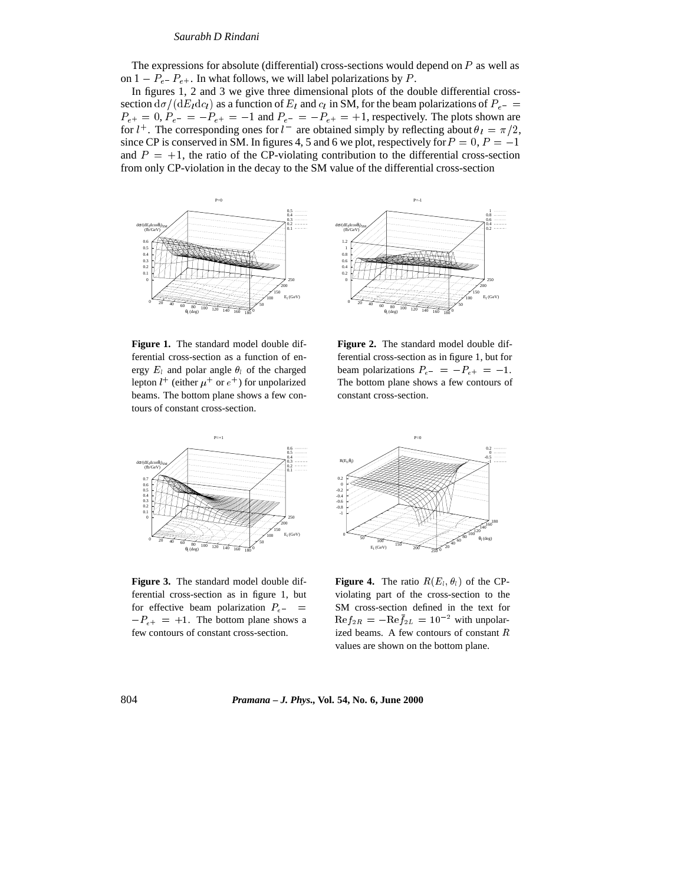The expressions for absolute (differential) cross-sections would depend on  $P$  as well as on  $1 - P_{e^-}P_{e^+}$ . In what follows, we will label polarizations by P.

In figures 1, 2 and 3 we give three dimensional plots of the double differential crosssection  $d\sigma/(dE_ldc_l)$  as a function of  $E_l$  and  $c_l$  in SM, for the beam polarizations of  $P_{e-}$  $P_{e^+} = 0$ ,  $P_{e^-} = -P_{e^+} = -1$  and  $P_{e^-} = -P_{e^+} = +1$ , respectively. The plots shown are for  $l^+$ . The corresponding ones for  $l^-$  are obtained simply by reflecting about  $\theta_l = \pi/2$ , since CP is conserved in SM. In figures 4, 5 and 6 we plot, respectively for  $P = 0$ ,  $P = -1$ and  $P = +1$ , the ratio of the CP-violating contribution to the differential cross-section from only CP-violation in the decay to the SM value of the differential cross-section



**Figure 1.** The standard model double differential cross-section as a function of energy  $E_l$  and polar angle  $\theta_l$  of the charged lepton  $l^+$  (either  $\mu^+$  or  $e^+$ ) for unpolarized beams. The bottom plane shows a few contours of constant cross-section.

**Figure 2.** The standard model double differential cross-section as in figure 1, but for beam polarizations  $P_{e^-} = -P_{e^+} = -1$ . The bottom plane shows a few contours of constant cross-section.



**Figure 3.** The standard model double differential cross-section as in figure 1, but for effective beam polarization  $P_{e-}$  =  $-P_{e+}$  = +1. The bottom plane shows a few contours of constant cross-section.



**Figure 4.** The ratio  $R(E_l, \theta_l)$  of the CPviolating part of the cross-section to the SM cross-section defined in the text for  $\mathrm{Re}f_{2R} = -\mathrm{Re}f_{2L} = 10^{-2}$  with unpolarized beams. A few contours of constant <sup>R</sup> values are shown on the bottom plane.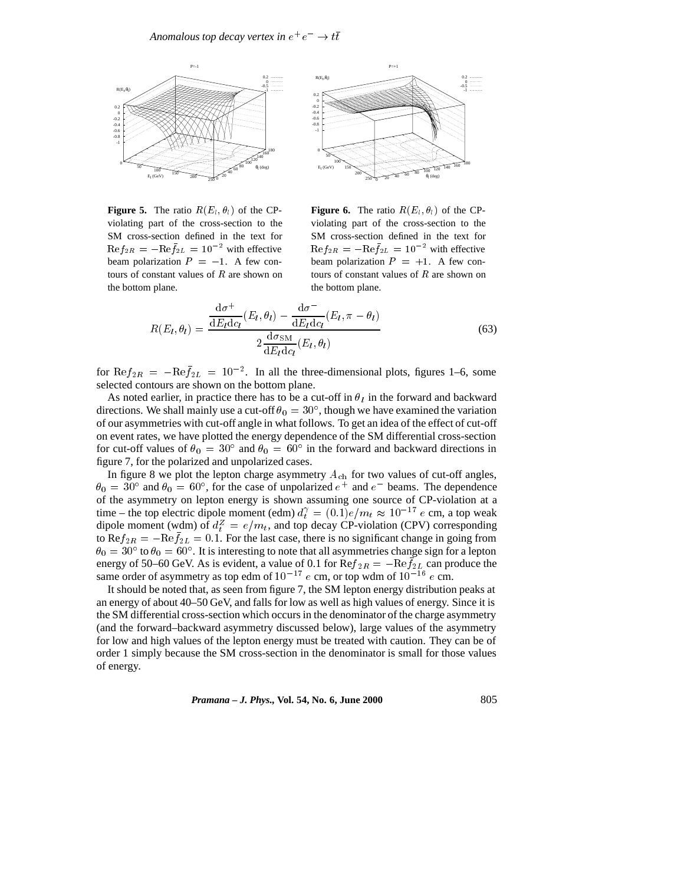



**Figure 5.** The ratio  $R(E_l, \theta_l)$  of the CPviolating part of the cross-section to the SM cross-section defined in the text for  $\text{Re}f_{2R} = -\text{Re}f_{2L} = 10^{-2}$  with effective beam polarization  $P = -1$ . A few contours of constant values of  $R$  are shown on the bottom plane.

**Figure 6.** The ratio  $R(E_i, \theta_i)$  of the CPviolating part of the cross-section to the SM cross-section defined in the text for  $\text{Re}f_{2R} = -\text{Re}f_{2L} = 10^{-2}$  with effective beam polarization  $P = +1$ . A few contours of constant values of  $R$  are shown on the bottom plane.

$$
R(E_l, \theta_l) = \frac{\frac{d\sigma^+}{dE_ldc_l}(E_l, \theta_l) - \frac{d\sigma^-}{dE_ldc_l}(E_l, \pi - \theta_l)}{2\frac{d\sigma_{SM}}{dE_ldc_l}(E_l, \theta_l)}
$$
(63)

for  $\text{Re} f_{2R} = -\text{Re} f_{2L} = 10^{-2}$ . In all the three-dimensional plots, figures 1–6, some selected contours are shown on the bottom plane.

As noted earlier, in practice there has to be a cut-off in  $\theta_l$  in the forward and backward directions. We shall mainly use a cut-off  $\theta_0 = 30^{\circ}$ , though we have examined the variation of our asymmetries with cut-off angle in what follows. To get an idea of the effect of cut-off on event rates, we have plotted the energy dependence of the SM differential cross-section for cut-off values of  $\theta_0 = 30^\circ$  and  $\theta_0 = 60^\circ$  in the forward and backward directions in figure 7, for the polarized and unpolarized cases.

In figure 8 we plot the lepton charge asymmetry  $A_{ch}$  for two values of cut-off angles,  $\theta_0 = 30^{\circ}$  and  $\theta_0 = 60^{\circ}$ , for the case of unpolarized  $e^+$  and  $e^-$  beams. The dependence of the asymmetry on lepton energy is shown assuming one source of CP-violation at a time – the top electric dipole moment (edm)  $d_t^{\gamma} = (0.1)e/m_t \approx 10^{-17} e$  cm, a top weak dipole moment (wdm) of  $d_t^Z = e/m_t$ , and top decay CP-violation (CPV) corresponding to Re $f_{2R} = -\text{Re}f_{2L} = 0.1$ . For the last case, there is no significant change in going from  $\theta_0 = 30^\circ$  to  $\theta_0 = 60^\circ$ . It is interesting to note that all asymmetries change sign for a lepton energy of 50–60 GeV. As is evident, a value of 0.1 for  $\text{Re}f_{2R} = -\text{Re}f_{2L}$  can produce the same order of asymmetry as top edm of  $10^{-17}$  e cm, or top wdm of  $10^{-16}$  e cm.

It should be noted that, as seen from figure 7, the SM lepton energy distribution peaks at an energy of about 40–50 GeV, and falls for low as well as high values of energy. Since it is the SM differential cross-section which occurs in the denominator of the charge asymmetry (and the forward–backward asymmetry discussed below), large values of the asymmetry for low and high values of the lepton energy must be treated with caution. They can be of order 1 simply because the SM cross-section in the denominator is small for those values of energy.

*Pramana – J. Phys.,* **Vol. 54, No. 6, June 2000** 805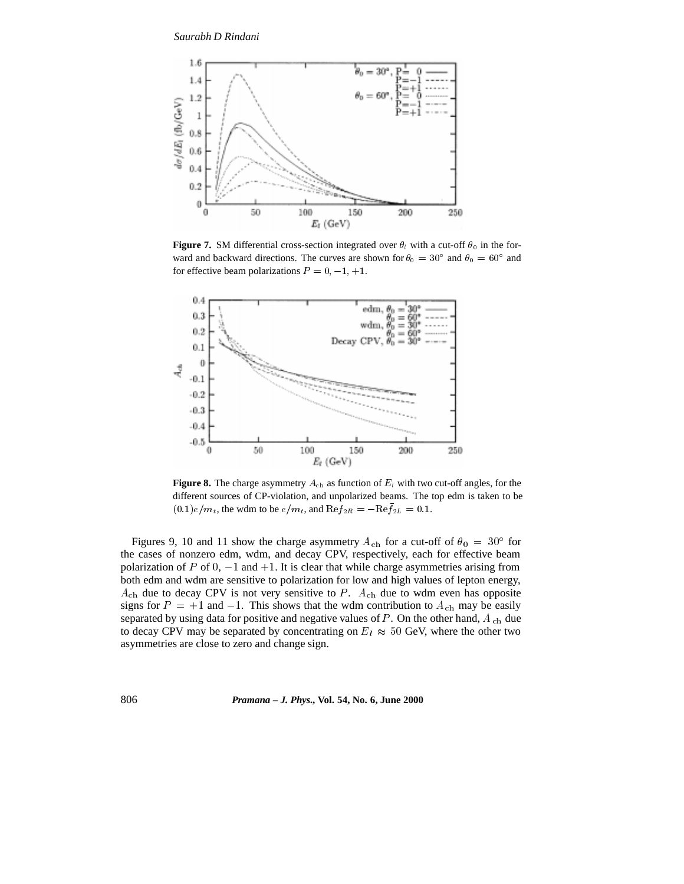

**Figure 7.** SM differential cross-section integrated over  $\theta_l$  with a cut-off  $\theta_0$  in the forward and backward directions. The curves are shown for  $\theta_0 = 30^{\circ}$  and  $\theta_0 = 60^{\circ}$  and for effective beam polarizations  $P = 0, -1, +1$ .



**Figure 8.** The charge asymmetry  $A_{ch}$  as function of  $E_l$  with two cut-off angles, for the different sources of CP-violation, and unpolarized beams. The top edm is taken to be  $(0.1)e/m_t$ , the wdm to be  $e/m_t$ , and  $\text{Re} f_{2R} = -\text{Re} f_{2L} = 0.1$ .

Figures 9, 10 and 11 show the charge asymmetry  $A_{ch}$  for a cut-off of  $\theta_0 = 30^{\circ}$  for the cases of nonzero edm, wdm, and decay CPV, respectively, each for effective beam polarization of P of  $0, -1$  and  $+1$ . It is clear that while charge asymmetries arising from both edm and wdm are sensitive to polarization for low and high values of lepton energy,  $A_{ch}$  due to decay CPV is not very sensitive to P.  $A_{ch}$  due to wdm even has opposite signs for  $P = +1$  and  $-1$ . This shows that the wdm contribution to  $A_{ch}$  may be easily separated by using data for positive and negative values of  $P$ . On the other hand,  $A_{ch}$  due to decay CPV may be separated by concentrating on  $E_l \approx 50$  GeV, where the other two asymmetries are close to zero and change sign.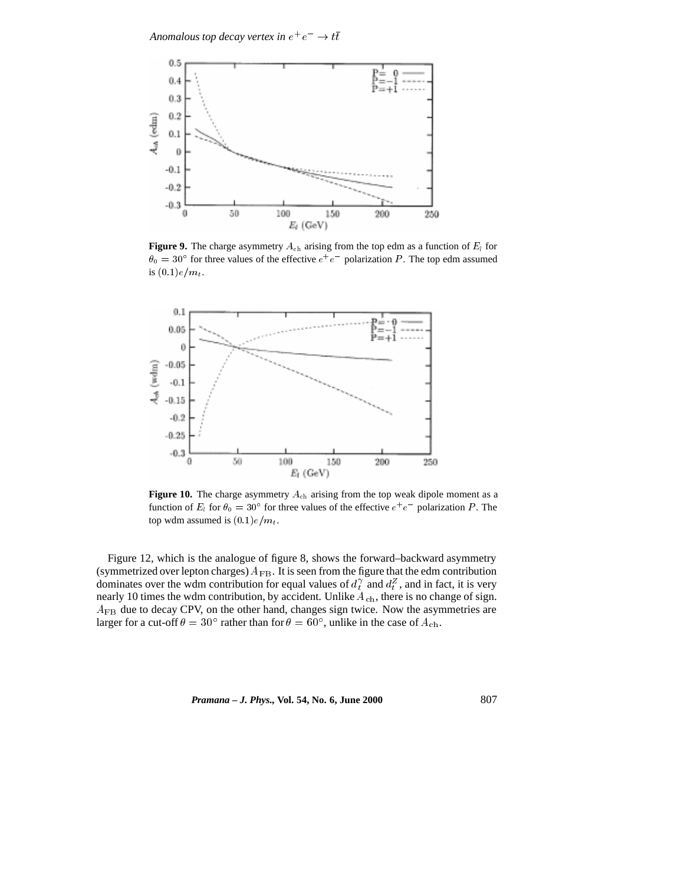Anomalous top decay vertex in  $e^+e^-\rightarrow t\bar t$ 



**Figure 9.** The charge asymmetry  $A_{ch}$  arising from the top edm as a function of  $E_l$  for  $\theta_0 = 30^{\circ}$  for three values of the effective  $e^+e^-$  polarization P. The top edm assumed is  $(0.1)e/m_t$ .



**Figure 10.** The charge asymmetry  $A_{ch}$  arising from the top weak dipole moment as a function of  $E_l$  for  $\theta_0 = 30^\circ$  for three values of the effective  $e^+e^-$  polarization P. The top wdm assumed is  $(0.1)e/m_t$ .

Figure 12, which is the analogue of figure 8, shows the forward–backward asymmetry (symmetrized over lepton charges)  $A_{FB}$ . It is seen from the figure that the edm contribution dominates over the wdm contribution for equal values of  $d_t^{\gamma}$  and  $d_t^{\gamma}$ , and in fact, it is very nearly 10 times the wdm contribution, by accident. Unlike  $A_{ch}$ , there is no change of sign.  $A_{FB}$  due to decay CPV, on the other hand, changes sign twice. Now the asymmetries are larger for a cut-off  $\theta = 30^{\circ}$  rather than for  $\theta = 60^{\circ}$ , unlike in the case of  $A_{ch}$ .

*Pramana – J. Phys.,* **Vol. 54, No. 6, June 2000** 807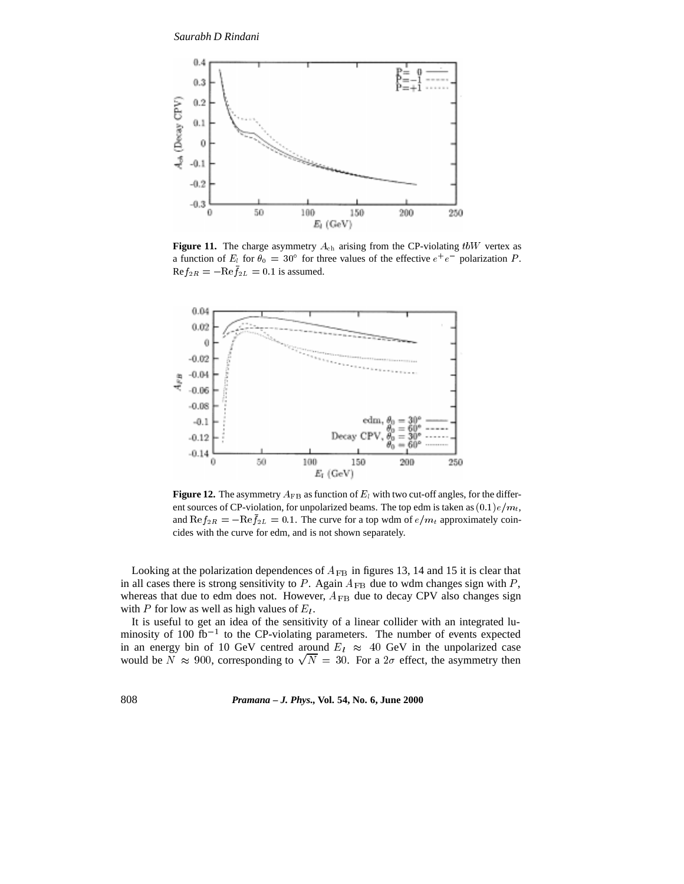

**Figure 11.** The charge asymmetry  $A_{ch}$  arising from the CP-violating  $tbW$  vertex as a function of  $E_l$  for  $\theta_0 = 30^\circ$  for three values of the effective  $e^+e^-$  polarization P.  $\text{Re} f_{2R} = -\text{Re} f_{2L} = 0.1$  is assumed.



**Figure 12.** The asymmetry  $A_{FB}$  as function of  $E_l$  with two cut-off angles, for the different sources of CP-violation, for unpolarized beams. The top edm is taken as  $(0.1)e/m_t$ , and  $\text{Re}f_{2R} = -\text{Re}f_{2L} = 0.1$ . The curve for a top wdm of  $e/m_t$  approximately coincides with the curve for edm, and is not shown separately.

Looking at the polarization dependences of  $A_{FB}$  in figures 13, 14 and 15 it is clear that in all cases there is strong sensitivity to  $P$ . Again  $A_{FB}$  due to wdm changes sign with  $P$ , whereas that due to edm does not. However,  $A_{FB}$  due to decay CPV also changes sign with P for low as well as high values of  $E_l$ .

It is useful to get an idea of the sensitivity of a linear collider with an integrated luminosity of 100 fb<sup>-1</sup> to the CP-violating parameters. The number of events expected in an energy bin of 10 GeV centred around  $E_l \approx 40$  GeV in the unpolarized case would be  $N \approx 900$ , corresponding to  $\sqrt{N} = 30$ . For a  $2\sigma$  effect, the asymmetry then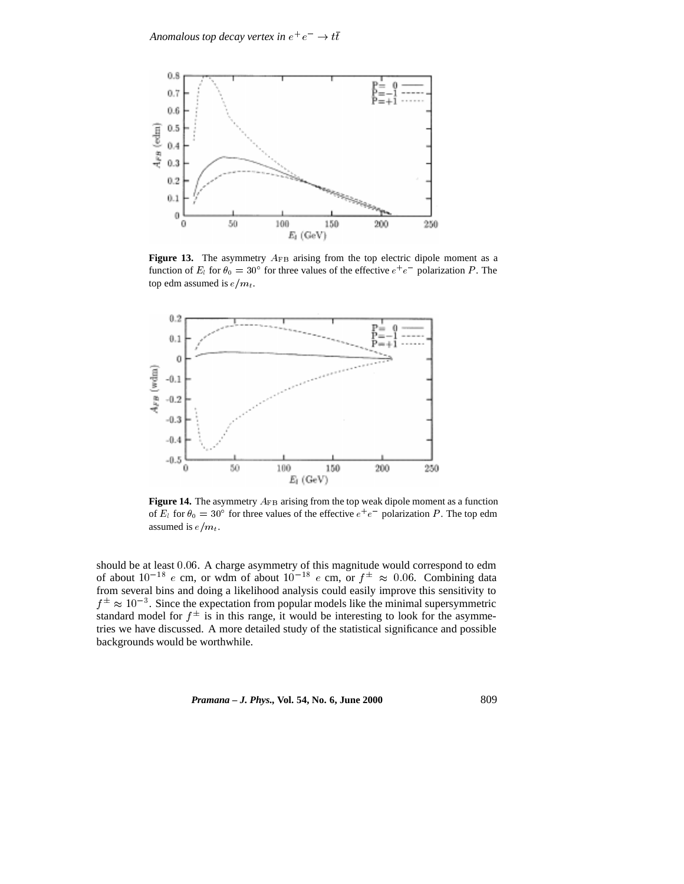

**Figure 13.** The asymmetry  $A_{FB}$  arising from the top electric dipole moment as a function of  $E_l$  for  $\theta_0 = 30^\circ$  for three values of the effective  $e^+e^-$  polarization P. The top edm assumed is  $e/m_t$ .



**Figure 14.** The asymmetry  $A_{FB}$  arising from the top weak dipole moment as a function of  $E_l$  for  $\theta_0 = 30^\circ$  for three values of the effective  $e^+e^-$  polarization P. The top edm assumed is  $e/m_t$ .

should be at least 0:06. A charge asymmetry of this magnitude would correspond to edm of about  $10^{-18}$  e cm, or wdm of about  $10^{-18}$  e cm, or  $f^{\pm} \approx 0.06$ . Combining data from several bins and doing a likelihood analysis could easily improve this sensitivity to  $f^{\pm} \approx 10^{-3}$ . Since the expectation from popular models like the minimal supersymmetric standard model for  $f^{\pm}$  is in this range, it would be interesting to look for the asymmetries we have discussed. A more detailed study of the statistical significance and possible backgrounds would be worthwhile.

*Pramana – J. Phys.,* **Vol. 54, No. 6, June 2000** 809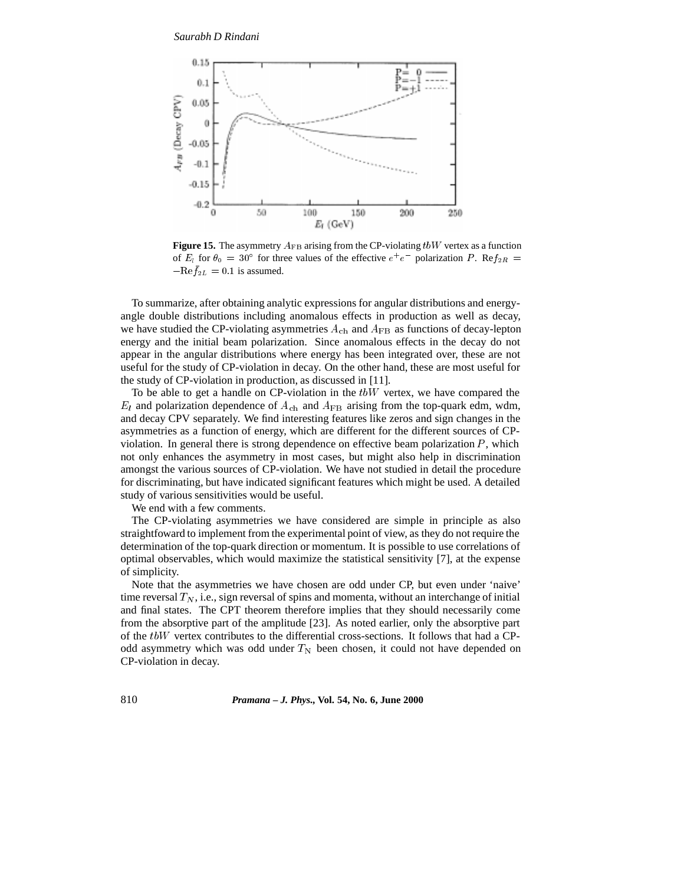

**Figure 15.** The asymmetry  $A_{FB}$  arising from the CP-violating  $tbW$  vertex as a function of  $E_l$  for  $\theta_0 = 30^\circ$  for three values of the effective  $e^+e^-$  polarization P. Re $f_{2R} =$  $-{\rm Re}f_{2L}=0.1$  is assumed.

To summarize, after obtaining analytic expressions for angular distributions and energyangle double distributions including anomalous effects in production as well as decay, we have studied the CP-violating asymmetries  $A_{ch}$  and  $A_{FB}$  as functions of decay-lepton energy and the initial beam polarization. Since anomalous effects in the decay do not appear in the angular distributions where energy has been integrated over, these are not useful for the study of CP-violation in decay. On the other hand, these are most useful for the study of CP-violation in production, as discussed in [11].

To be able to get a handle on CP-violation in the  $tbW$  vertex, we have compared the  $E_l$  and polarization dependence of  $A_{ch}$  and  $A_{FB}$  arising from the top-quark edm, wdm, and decay CPV separately. We find interesting features like zeros and sign changes in the asymmetries as a function of energy, which are different for the different sources of CPviolation. In general there is strong dependence on effective beam polarization  $P$ , which not only enhances the asymmetry in most cases, but might also help in discrimination amongst the various sources of CP-violation. We have not studied in detail the procedure for discriminating, but have indicated significant features which might be used. A detailed study of various sensitivities would be useful.

We end with a few comments.

The CP-violating asymmetries we have considered are simple in principle as also straightfoward to implement from the experimental point of view, as they do not require the determination of the top-quark direction or momentum. It is possible to use correlations of optimal observables, which would maximize the statistical sensitivity [7], at the expense of simplicity.

Note that the asymmetries we have chosen are odd under CP, but even under 'naive' time reversal  $T_N$ , i.e., sign reversal of spins and momenta, without an interchange of initial and final states. The CPT theorem therefore implies that they should necessarily come from the absorptive part of the amplitude [23]. As noted earlier, only the absorptive part of the  $tbW$  vertex contributes to the differential cross-sections. It follows that had a CPodd asymmetry which was odd under  $T_N$  been chosen, it could not have depended on CP-violation in decay.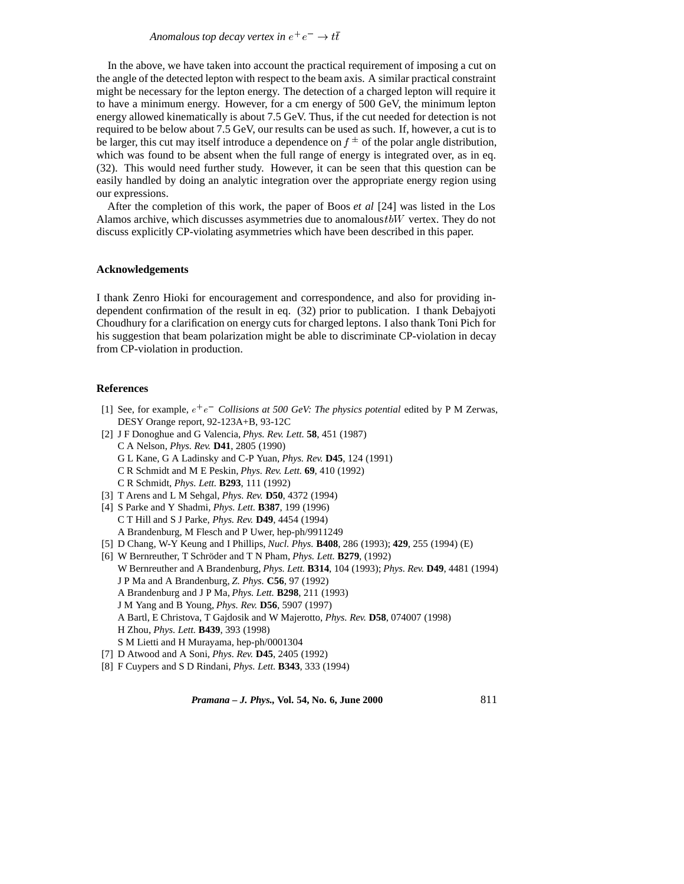In the above, we have taken into account the practical requirement of imposing a cut on the angle of the detected lepton with respect to the beam axis. A similar practical constraint might be necessary for the lepton energy. The detection of a charged lepton will require it to have a minimum energy. However, for a cm energy of 500 GeV, the minimum lepton energy allowed kinematically is about 7.5 GeV. Thus, if the cut needed for detection is not required to be below about 7.5 GeV, our results can be used as such. If, however, a cut is to be larger, this cut may itself introduce a dependence on  $f^{\pm}$  of the polar angle distribution, which was found to be absent when the full range of energy is integrated over, as in eq. (32). This would need further study. However, it can be seen that this question can be easily handled by doing an analytic integration over the appropriate energy region using our expressions.

After the completion of this work, the paper of Boos *et al* [24] was listed in the Los Alamos archive, which discusses asymmetries due to anomalous  $tbW$  vertex. They do not discuss explicitly CP-violating asymmetries which have been described in this paper.

#### **Acknowledgements**

I thank Zenro Hioki for encouragement and correspondence, and also for providing independent confirmation of the result in eq. (32) prior to publication. I thank Debajyoti Choudhury for a clarification on energy cuts for charged leptons. I also thank Toni Pich for his suggestion that beam polarization might be able to discriminate CP-violation in decay from CP-violation in production.

#### **References**

- [1] See, for example,  $e^+e^-$  Collisions at 500 GeV: The physics potential edited by P M Zerwas, DESY Orange report, 92-123A+B, 93-12C
- [2] J F Donoghue and G Valencia, *Phys. Rev. Lett.* **58**, 451 (1987) C A Nelson, *Phys. Rev.* **D41**, 2805 (1990) G L Kane, G A Ladinsky and C-P Yuan, *Phys. Rev.* **D45**, 124 (1991) C R Schmidt and M E Peskin, *Phys. Rev. Lett.* **69**, 410 (1992) C R Schmidt, *Phys. Lett.* **B293**, 111 (1992)
- [3] T Arens and L M Sehgal, *Phys. Rev.* **D50**, 4372 (1994)
- [4] S Parke and Y Shadmi, *Phys. Lett.* **B387**, 199 (1996) C T Hill and S J Parke, *Phys. Rev.* **D49**, 4454 (1994) A Brandenburg, M Flesch and P Uwer, hep-ph/9911249
- [5] D Chang, W-Y Keung and I Phillips, *Nucl. Phys.* **B408**, 286 (1993); **429**, 255 (1994) (E)
- [6] W Bernreuther, T Schröder and T N Pham, *Phys. Lett.* **B279**, (1992) W Bernreuther and A Brandenburg, *Phys. Lett.* **B314**, 104 (1993); *Phys. Rev.* **D49**, 4481 (1994) J P Ma and A Brandenburg, *Z. Phys.* **C56**, 97 (1992) A Brandenburg and J P Ma, *Phys. Lett.* **B298**, 211 (1993) J M Yang and B Young, *Phys. Rev.* **D56**, 5907 (1997) A Bartl, E Christova, T Gajdosik and W Majerotto, *Phys. Rev.* **D58**, 074007 (1998) H Zhou, *Phys. Lett.* **B439**, 393 (1998) S M Lietti and H Murayama, hep-ph/0001304
- [7] D Atwood and A Soni, *Phys. Rev.* **D45**, 2405 (1992)
- [8] F Cuypers and S D Rindani, *Phys. Lett.* **B343**, 333 (1994)